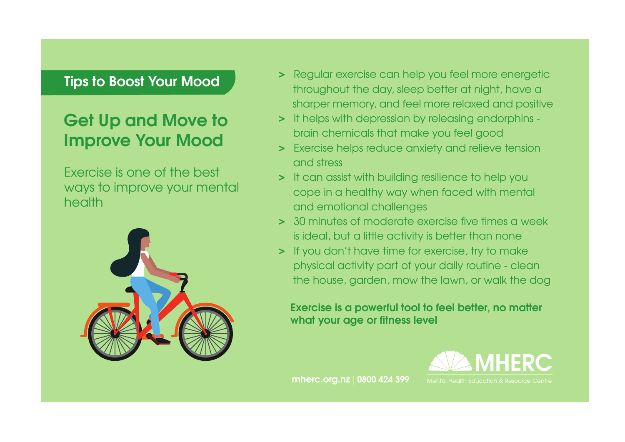# Get Up and Move to Improve Your Mood

Exercise is one of the best ways to improve your mental health



- > Regular exercise can help you feel more energetic throughout the day, sleep better at night, have a sharper memory, and feel more relaxed and positive
- > It helps with depression by releasing endorphins brain chemicals that make you feel good
- > Exercise helps reduce anxiety and relieve tension and stress
- > It can assist with building resilience to help you cope in a healthy way when faced with mental and emotional challenges
- > 30 minutes of moderate exercise five times a week is ideal, but a little activity is better than none
- > If you don't have time for exercise, try to make physical activity part of your daily routine - clean the house, garden, mow the lawn, or walk the dog

### Exercise is a powerful tool to feel better, no matter what your age or fitness level



mherc.org.nz | 0800 424 399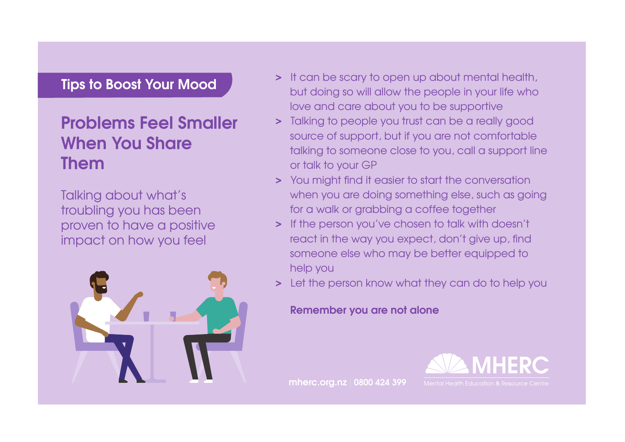# Problems Feel Smaller When You Share Them

Talking about what's troubling you has been proven to have a positive impact on how you feel



- > It can be scary to open up about mental health, but doing so will allow the people in your life who love and care about you to be supportive
- > Talking to people you trust can be a really good source of support, but if you are not comfortable talking to someone close to you, call a support line or talk to your GP
- > You might find it easier to start the conversation when you are doing something else, such as going for a walk or grabbing a coffee together
- > If the person you've chosen to talk with doesn't react in the way you expect, don't give up, find someone else who may be better equipped to help you
- > Let the person know what they can do to help you

#### Remember you are not alone

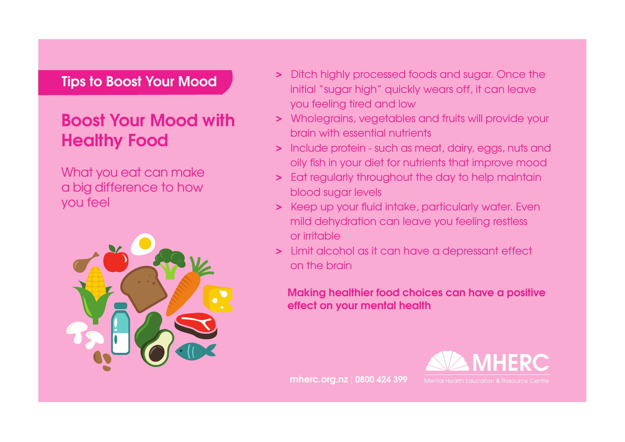# Boost Your Mood with Healthy Food

What you eat can make a big difference to how you feel



- > Ditch highly processed foods and sugar. Once the initial "sugar high" quickly wears off, it can leave you feeling tired and low
- > Wholegrains, vegetables and fruits will provide your brain with essential nutrients
- > Include protein such as meat, dairy, eggs, nuts and oily fish in your diet for nutrients that improve mood
- > Eat regularly throughout the day to help maintain blood sugar levels
- > Keep up your fluid intake, particularly water. Even mild dehydration can leave you feeling restless or irritable
- > Limit alcohol as it can have a depressant effect on the brain

#### Making healthier food choices can have a positive effect on your mental health

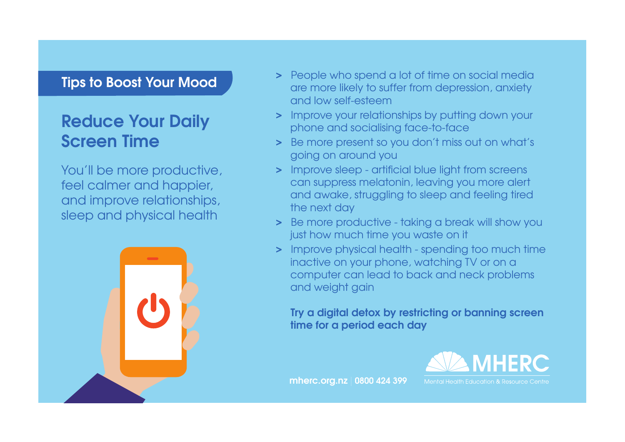## Reduce Your Daily Screen Time

You'll be more productive, feel calmer and happier, and improve relationships, sleep and physical health



- > People who spend a lot of time on social media are more likely to suffer from depression, anxiety and low self-esteem
- > Improve your relationships by putting down your phone and socialising face-to-face
- > Be more present so you don't miss out on what's going on around you
- > Improve sleep artificial blue light from screens can suppress melatonin, leaving you more alert and awake, struggling to sleep and feeling tired the next day
- > Be more productive taking a break will show you just how much time you waste on it
- > Improve physical health spending too much time inactive on your phone, watching TV or on a computer can lead to back and neck problems and weight gain

 Try a digital detox by restricting or banning screen time for a period each day



mherc.org.nz | 0800 424 399